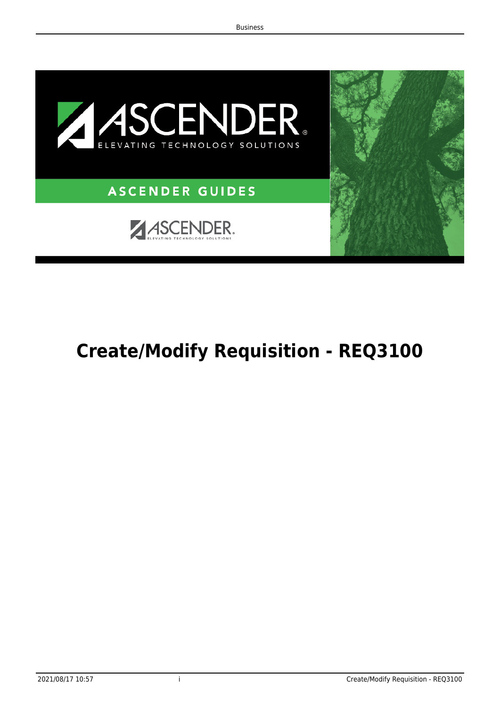

# <span id="page-0-0"></span>**Create/Modify Requisition - REQ3100**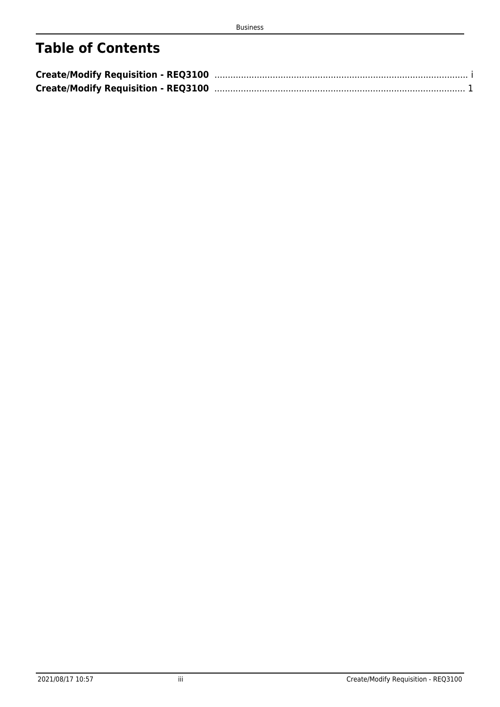# **Table of Contents**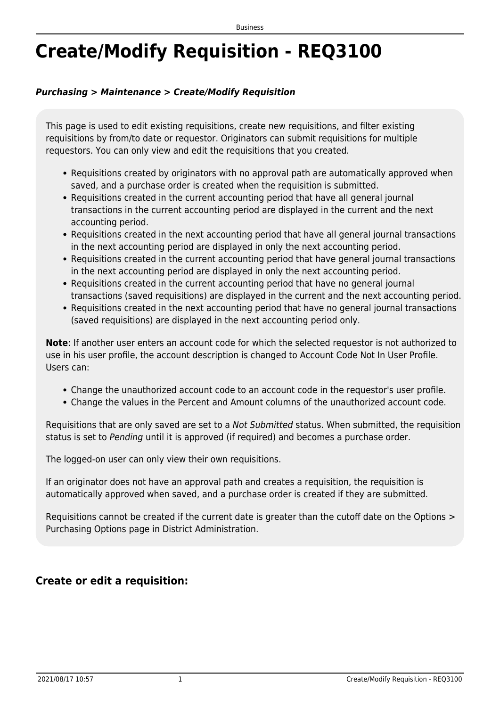# <span id="page-4-0"></span>**Create/Modify Requisition - REQ3100**

### *Purchasing > Maintenance > Create/Modify Requisition*

This page is used to edit existing requisitions, create new requisitions, and filter existing requisitions by from/to date or requestor. Originators can submit requisitions for multiple requestors. You can only view and edit the requisitions that you created.

- Requisitions created by originators with no approval path are automatically approved when saved, and a purchase order is created when the requisition is submitted.
- Requisitions created in the current accounting period that have all general journal transactions in the current accounting period are displayed in the current and the next accounting period.
- Requisitions created in the next accounting period that have all general journal transactions in the next accounting period are displayed in only the next accounting period.
- Requisitions created in the current accounting period that have general journal transactions in the next accounting period are displayed in only the next accounting period.
- Requisitions created in the current accounting period that have no general journal transactions (saved requisitions) are displayed in the current and the next accounting period.
- Requisitions created in the next accounting period that have no general journal transactions (saved requisitions) are displayed in the next accounting period only.

**Note**: If another user enters an account code for which the selected requestor is not authorized to use in his user profile, the account description is changed to Account Code Not In User Profile. Users can:

- Change the unauthorized account code to an account code in the requestor's user profile.
- Change the values in the Percent and Amount columns of the unauthorized account code.

Requisitions that are only saved are set to a Not Submitted status. When submitted, the requisition status is set to Pending until it is approved (if required) and becomes a purchase order.

The logged-on user can only view their own requisitions.

If an originator does not have an approval path and creates a requisition, the requisition is automatically approved when saved, and a purchase order is created if they are submitted.

Requisitions cannot be created if the current date is greater than the cutoff date on the Options > Purchasing Options page in District Administration.

## **Create or edit a requisition:**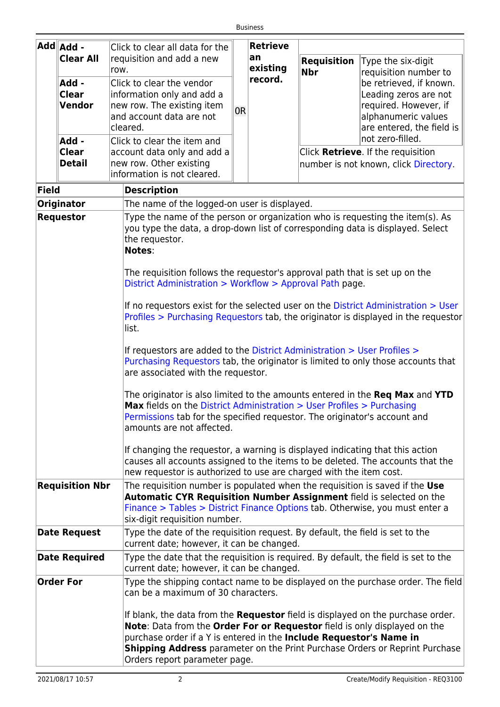|                           | - Add Add                                                                                                                                                       | Click to clear all data for the                                                                                                                              |                                                                           | <b>Retrieve</b>     |                    |                                                                                    |
|---------------------------|-----------------------------------------------------------------------------------------------------------------------------------------------------------------|--------------------------------------------------------------------------------------------------------------------------------------------------------------|---------------------------------------------------------------------------|---------------------|--------------------|------------------------------------------------------------------------------------|
|                           | <b>Clear All</b>                                                                                                                                                | requisition and add a new                                                                                                                                    |                                                                           | an                  | <b>Requisition</b> | Type the six-digit                                                                 |
|                           |                                                                                                                                                                 | row.                                                                                                                                                         |                                                                           | existing<br>record. | <b>Nbr</b>         | requisition number to                                                              |
|                           | Add -<br><b>Clear</b>                                                                                                                                           | Click to clear the vendor<br>information only and add a                                                                                                      |                                                                           |                     |                    | be retrieved, if known.<br>Leading zeros are not                                   |
|                           | Vendor                                                                                                                                                          | new row. The existing item                                                                                                                                   |                                                                           |                     |                    | required. However, if                                                              |
|                           |                                                                                                                                                                 | and account data are not                                                                                                                                     | 0R                                                                        |                     |                    | alphanumeric values                                                                |
|                           |                                                                                                                                                                 | cleared.                                                                                                                                                     |                                                                           |                     |                    | are entered, the field is                                                          |
|                           | Add -                                                                                                                                                           | Click to clear the item and                                                                                                                                  |                                                                           |                     |                    | not zero-filled.                                                                   |
|                           | <b>Clear</b>                                                                                                                                                    | account data only and add a                                                                                                                                  |                                                                           |                     |                    | Click Retrieve. If the requisition                                                 |
|                           | <b>Detail</b>                                                                                                                                                   | new row. Other existing                                                                                                                                      |                                                                           |                     |                    | number is not known, click Directory.                                              |
|                           |                                                                                                                                                                 | information is not cleared.                                                                                                                                  |                                                                           |                     |                    |                                                                                    |
| <b>Field</b>              |                                                                                                                                                                 | <b>Description</b>                                                                                                                                           |                                                                           |                     |                    |                                                                                    |
|                           | <b>Originator</b>                                                                                                                                               | The name of the logged-on user is displayed.                                                                                                                 |                                                                           |                     |                    |                                                                                    |
|                           | Type the name of the person or organization who is requesting the item(s). As<br><b>Requestor</b>                                                               |                                                                                                                                                              |                                                                           |                     |                    |                                                                                    |
|                           |                                                                                                                                                                 | you type the data, a drop-down list of corresponding data is displayed. Select                                                                               |                                                                           |                     |                    |                                                                                    |
|                           |                                                                                                                                                                 | the requestor.<br>Notes:                                                                                                                                     |                                                                           |                     |                    |                                                                                    |
|                           |                                                                                                                                                                 |                                                                                                                                                              |                                                                           |                     |                    |                                                                                    |
|                           |                                                                                                                                                                 | The requisition follows the requestor's approval path that is set up on the                                                                                  |                                                                           |                     |                    |                                                                                    |
|                           |                                                                                                                                                                 | District Administration > Workflow > Approval Path page.                                                                                                     |                                                                           |                     |                    |                                                                                    |
|                           |                                                                                                                                                                 |                                                                                                                                                              |                                                                           |                     |                    | If no requestors exist for the selected user on the District Administration > User |
|                           |                                                                                                                                                                 |                                                                                                                                                              |                                                                           |                     |                    | Profiles > Purchasing Requestors tab, the originator is displayed in the requestor |
|                           |                                                                                                                                                                 | list.                                                                                                                                                        |                                                                           |                     |                    |                                                                                    |
|                           |                                                                                                                                                                 |                                                                                                                                                              |                                                                           |                     |                    |                                                                                    |
|                           |                                                                                                                                                                 | If requestors are added to the District Administration > User Profiles ><br>Purchasing Requestors tab, the originator is limited to only those accounts that |                                                                           |                     |                    |                                                                                    |
|                           |                                                                                                                                                                 | are associated with the requestor.                                                                                                                           |                                                                           |                     |                    |                                                                                    |
|                           |                                                                                                                                                                 |                                                                                                                                                              |                                                                           |                     |                    |                                                                                    |
|                           | The originator is also limited to the amounts entered in the Req Max and YTD<br>Max fields on the District Administration > User Profiles > Purchasing          |                                                                                                                                                              |                                                                           |                     |                    |                                                                                    |
|                           |                                                                                                                                                                 |                                                                                                                                                              | Permissions tab for the specified requestor. The originator's account and |                     |                    |                                                                                    |
| amounts are not affected. |                                                                                                                                                                 |                                                                                                                                                              |                                                                           |                     |                    |                                                                                    |
|                           |                                                                                                                                                                 |                                                                                                                                                              |                                                                           |                     |                    |                                                                                    |
|                           | If changing the requestor, a warning is displayed indicating that this action<br>causes all accounts assigned to the items to be deleted. The accounts that the |                                                                                                                                                              |                                                                           |                     |                    |                                                                                    |
|                           |                                                                                                                                                                 | new requestor is authorized to use are charged with the item cost.                                                                                           |                                                                           |                     |                    |                                                                                    |
|                           | <b>Requisition Nbr</b>                                                                                                                                          | The requisition number is populated when the requisition is saved if the Use                                                                                 |                                                                           |                     |                    |                                                                                    |
|                           |                                                                                                                                                                 | Automatic CYR Requisition Number Assignment field is selected on the                                                                                         |                                                                           |                     |                    |                                                                                    |
|                           |                                                                                                                                                                 | Finance > Tables > District Finance Options tab. Otherwise, you must enter a<br>six-digit requisition number.                                                |                                                                           |                     |                    |                                                                                    |
|                           | <b>Date Request</b>                                                                                                                                             | Type the date of the requisition request. By default, the field is set to the                                                                                |                                                                           |                     |                    |                                                                                    |
|                           |                                                                                                                                                                 | current date; however, it can be changed.                                                                                                                    |                                                                           |                     |                    |                                                                                    |
|                           | <b>Date Required</b>                                                                                                                                            | Type the date that the requisition is required. By default, the field is set to the                                                                          |                                                                           |                     |                    |                                                                                    |
|                           |                                                                                                                                                                 | current date; however, it can be changed.                                                                                                                    |                                                                           |                     |                    |                                                                                    |
|                           | <b>Order For</b>                                                                                                                                                | can be a maximum of 30 characters.                                                                                                                           |                                                                           |                     |                    | Type the shipping contact name to be displayed on the purchase order. The field    |
|                           |                                                                                                                                                                 |                                                                                                                                                              |                                                                           |                     |                    |                                                                                    |
|                           |                                                                                                                                                                 | If blank, the data from the Requestor field is displayed on the purchase order.                                                                              |                                                                           |                     |                    |                                                                                    |
|                           |                                                                                                                                                                 | Note: Data from the Order For or Requestor field is only displayed on the                                                                                    |                                                                           |                     |                    |                                                                                    |
|                           |                                                                                                                                                                 | purchase order if a Y is entered in the Include Requestor's Name in                                                                                          |                                                                           |                     |                    | <b>Shipping Address</b> parameter on the Print Purchase Orders or Reprint Purchase |
|                           |                                                                                                                                                                 | Orders report parameter page.                                                                                                                                |                                                                           |                     |                    |                                                                                    |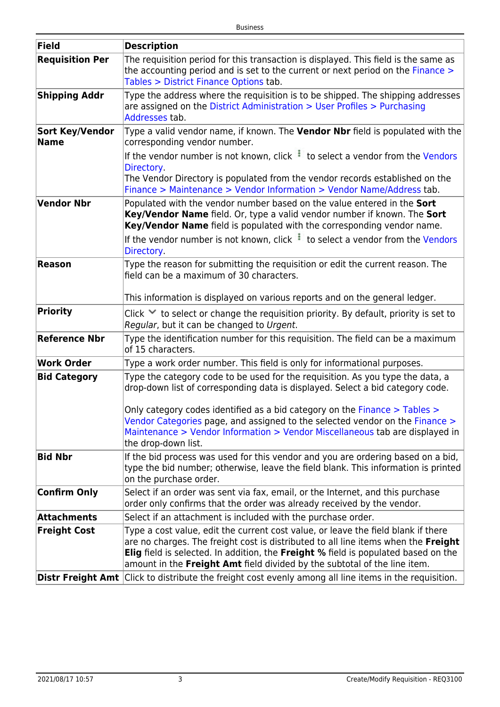| Field                          | <b>Description</b>                                                                                                                                                                                                                                                                                                                         |
|--------------------------------|--------------------------------------------------------------------------------------------------------------------------------------------------------------------------------------------------------------------------------------------------------------------------------------------------------------------------------------------|
| <b>Requisition Per</b>         | The requisition period for this transaction is displayed. This field is the same as<br>the accounting period and is set to the current or next period on the Finance ><br>Tables > District Finance Options tab.                                                                                                                           |
| <b>Shipping Addr</b>           | Type the address where the requisition is to be shipped. The shipping addresses<br>are assigned on the District Administration > User Profiles > Purchasing<br>Addresses tab.                                                                                                                                                              |
| <b>Sort Key/Vendor</b><br>Name | Type a valid vendor name, if known. The Vendor Nbr field is populated with the<br>corresponding vendor number.                                                                                                                                                                                                                             |
|                                | If the vendor number is not known, click to select a vendor from the Vendors<br>Directory.<br>The Vendor Directory is populated from the vendor records established on the<br>Finance > Maintenance > Vendor Information > Vendor Name/Address tab.                                                                                        |
| Vendor Nbr                     | Populated with the vendor number based on the value entered in the Sort<br>Key/Vendor Name field. Or, type a valid vendor number if known. The Sort<br>Key/Vendor Name field is populated with the corresponding vendor name.<br>If the vendor number is not known, click to select a vendor from the Vendors<br>Directory.                |
| <b>Reason</b>                  | Type the reason for submitting the requisition or edit the current reason. The<br>field can be a maximum of 30 characters.                                                                                                                                                                                                                 |
|                                | This information is displayed on various reports and on the general ledger.                                                                                                                                                                                                                                                                |
| Priority                       | Click $\vee$ to select or change the requisition priority. By default, priority is set to<br>Regular, but it can be changed to Urgent.                                                                                                                                                                                                     |
| <b>Reference Nbr</b>           | Type the identification number for this requisition. The field can be a maximum<br>of 15 characters.                                                                                                                                                                                                                                       |
| Work Order                     | Type a work order number. This field is only for informational purposes.                                                                                                                                                                                                                                                                   |
| <b>Bid Category</b>            | Type the category code to be used for the reguisition. As you type the data, a<br>drop-down list of corresponding data is displayed. Select a bid category code.<br>Only category codes identified as a bid category on the Finance > Tables ><br>Vendor Categories page, and assigned to the selected vendor on the Finance >             |
|                                | Maintenance > Vendor Information > Vendor Miscellaneous tab are displayed in<br>the drop-down list.                                                                                                                                                                                                                                        |
| <b>Bid Nbr</b>                 | If the bid process was used for this vendor and you are ordering based on a bid,<br>type the bid number; otherwise, leave the field blank. This information is printed<br>on the purchase order.                                                                                                                                           |
| <b>Confirm Only</b>            | Select if an order was sent via fax, email, or the Internet, and this purchase<br>order only confirms that the order was already received by the vendor.                                                                                                                                                                                   |
| <b>Attachments</b>             | Select if an attachment is included with the purchase order.                                                                                                                                                                                                                                                                               |
| <b>Freight Cost</b>            | Type a cost value, edit the current cost value, or leave the field blank if there<br>are no charges. The freight cost is distributed to all line items when the Freight<br>Elig field is selected. In addition, the Freight % field is populated based on the<br>amount in the Freight Amt field divided by the subtotal of the line item. |
|                                | <b>Distr Freight Amt</b> Click to distribute the freight cost evenly among all line items in the requisition.                                                                                                                                                                                                                              |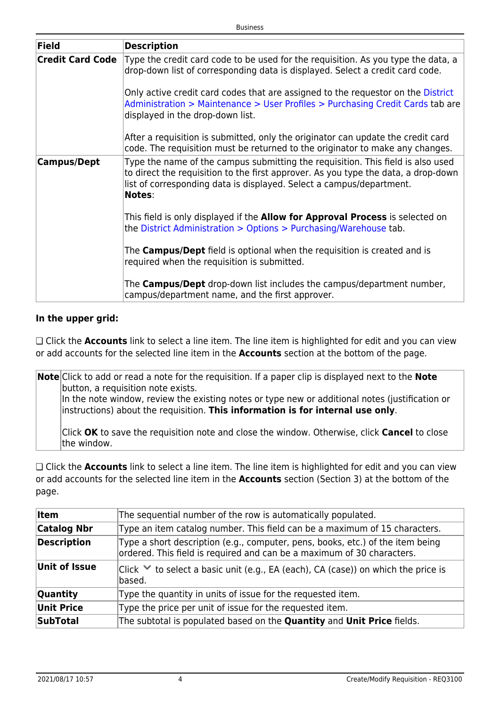| <b>Field</b>            | <b>Description</b>                                                                                                                                                                                                                                             |
|-------------------------|----------------------------------------------------------------------------------------------------------------------------------------------------------------------------------------------------------------------------------------------------------------|
| <b>Credit Card Code</b> | Type the credit card code to be used for the requisition. As you type the data, a<br>drop-down list of corresponding data is displayed. Select a credit card code.                                                                                             |
|                         | Only active credit card codes that are assigned to the requestor on the District<br>Administration > Maintenance > User Profiles > Purchasing Credit Cards tab are<br>displayed in the drop-down list.                                                         |
|                         | After a requisition is submitted, only the originator can update the credit card<br>code. The requisition must be returned to the originator to make any changes.                                                                                              |
| <b>Campus/Dept</b>      | Type the name of the campus submitting the requisition. This field is also used<br>to direct the requisition to the first approver. As you type the data, a drop-down<br>list of corresponding data is displayed. Select a campus/department.<br><b>Notes:</b> |
|                         | This field is only displayed if the <b>Allow for Approval Process</b> is selected on<br>the District Administration > Options > Purchasing/Warehouse tab.                                                                                                      |
|                         | The Campus/Dept field is optional when the requisition is created and is<br>required when the requisition is submitted.                                                                                                                                        |
|                         | The <b>Campus/Dept</b> drop-down list includes the campus/department number,<br>campus/department name, and the first approver.                                                                                                                                |

### **In the upper grid:**

❏ Click the **Accounts** link to select a line item. The line item is highlighted for edit and you can view or add accounts for the selected line item in the **Accounts** section at the bottom of the page.

**Note** Click to add or read a note for the requisition. If a paper clip is displayed next to the **Note** button, a requisition note exists. In the note window, review the existing notes or type new or additional notes (justification or instructions) about the requisition. **This information is for internal use only**.

Click **OK** to save the requisition note and close the window. Otherwise, click **Cancel** to close the window.

❏ Click the **Accounts** link to select a line item. The line item is highlighted for edit and you can view or add accounts for the selected line item in the **Accounts** section (Section 3) at the bottom of the page.

| <b>Item</b>        | The sequential number of the row is automatically populated.                                                                                             |  |
|--------------------|----------------------------------------------------------------------------------------------------------------------------------------------------------|--|
| <b>Catalog Nbr</b> | Type an item catalog number. This field can be a maximum of 15 characters.                                                                               |  |
| <b>Description</b> | Type a short description (e.g., computer, pens, books, etc.) of the item being<br>ordered. This field is required and can be a maximum of 30 characters. |  |
| Unit of Issue      | $ Click \times to select a basic unit (e.g., EA (each), CA (case))$ on which the price is<br>based.                                                      |  |
| <b>Quantity</b>    | Type the quantity in units of issue for the requested item.                                                                                              |  |
| <b>Unit Price</b>  | Type the price per unit of issue for the requested item.                                                                                                 |  |
| <b>SubTotal</b>    | The subtotal is populated based on the Quantity and Unit Price fields.                                                                                   |  |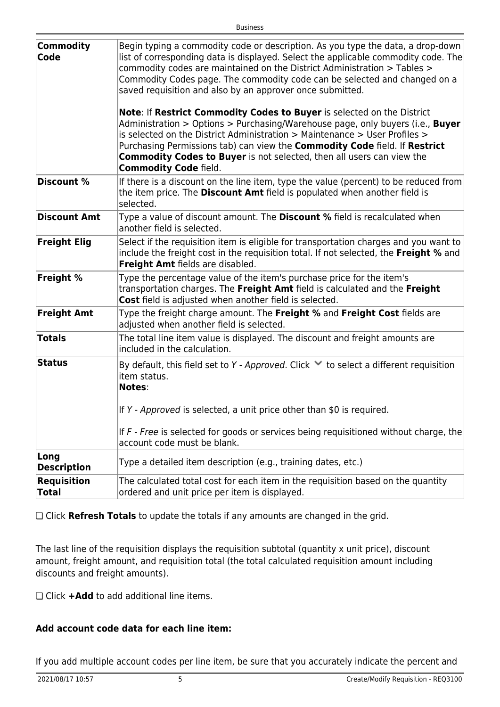| <b>Commodity</b><br>Code           | Begin typing a commodity code or description. As you type the data, a drop-down<br>list of corresponding data is displayed. Select the applicable commodity code. The<br>commodity codes are maintained on the District Administration > Tables ><br>Commodity Codes page. The commodity code can be selected and changed on a<br>saved requisition and also by an approver once submitted.<br>Note: If Restrict Commodity Codes to Buyer is selected on the District<br>Administration > Options > Purchasing/Warehouse page, only buyers (i.e., Buyer<br>is selected on the District Administration $>$ Maintenance $>$ User Profiles $>$ |
|------------------------------------|---------------------------------------------------------------------------------------------------------------------------------------------------------------------------------------------------------------------------------------------------------------------------------------------------------------------------------------------------------------------------------------------------------------------------------------------------------------------------------------------------------------------------------------------------------------------------------------------------------------------------------------------|
|                                    | Purchasing Permissions tab) can view the <b>Commodity Code</b> field. If Restrict<br><b>Commodity Codes to Buyer</b> is not selected, then all users can view the<br><b>Commodity Code field.</b>                                                                                                                                                                                                                                                                                                                                                                                                                                           |
| <b>Discount %</b>                  | If there is a discount on the line item, type the value (percent) to be reduced from<br>the item price. The Discount Amt field is populated when another field is<br>selected.                                                                                                                                                                                                                                                                                                                                                                                                                                                              |
| <b>Discount Amt</b>                | Type a value of discount amount. The <b>Discount</b> % field is recalculated when<br>another field is selected.                                                                                                                                                                                                                                                                                                                                                                                                                                                                                                                             |
| <b>Freight Elig</b>                | Select if the requisition item is eligible for transportation charges and you want to<br>include the freight cost in the requisition total. If not selected, the Freight % and<br>Freight Amt fields are disabled.                                                                                                                                                                                                                                                                                                                                                                                                                          |
| <b>Freight %</b>                   | Type the percentage value of the item's purchase price for the item's<br>transportation charges. The Freight Amt field is calculated and the Freight<br>Cost field is adjusted when another field is selected.                                                                                                                                                                                                                                                                                                                                                                                                                              |
| <b>Freight Amt</b>                 | Type the freight charge amount. The Freight % and Freight Cost fields are<br>adjusted when another field is selected.                                                                                                                                                                                                                                                                                                                                                                                                                                                                                                                       |
| <b>Totals</b>                      | The total line item value is displayed. The discount and freight amounts are<br>included in the calculation.                                                                                                                                                                                                                                                                                                                                                                                                                                                                                                                                |
| <b>Status</b>                      | By default, this field set to Y - Approved. Click $\vee$ to select a different requisition<br>item status.<br>Notes:                                                                                                                                                                                                                                                                                                                                                                                                                                                                                                                        |
|                                    | If $Y$ - Approved is selected, a unit price other than \$0 is required.                                                                                                                                                                                                                                                                                                                                                                                                                                                                                                                                                                     |
|                                    | If $F$ - Free is selected for goods or services being requisitioned without charge, the<br>account code must be blank.                                                                                                                                                                                                                                                                                                                                                                                                                                                                                                                      |
| Long<br><b>Description</b>         | Type a detailed item description (e.g., training dates, etc.)                                                                                                                                                                                                                                                                                                                                                                                                                                                                                                                                                                               |
| <b>Requisition</b><br><b>Total</b> | The calculated total cost for each item in the requisition based on the quantity<br>ordered and unit price per item is displayed.                                                                                                                                                                                                                                                                                                                                                                                                                                                                                                           |

❏ Click **Refresh Totals** to update the totals if any amounts are changed in the grid.

The last line of the requisition displays the requisition subtotal (quantity x unit price), discount amount, freight amount, and requisition total (the total calculated requisition amount including discounts and freight amounts).

❏ Click **+Add** to add additional line items.

### **Add account code data for each line item:**

If you add multiple account codes per line item, be sure that you accurately indicate the percent and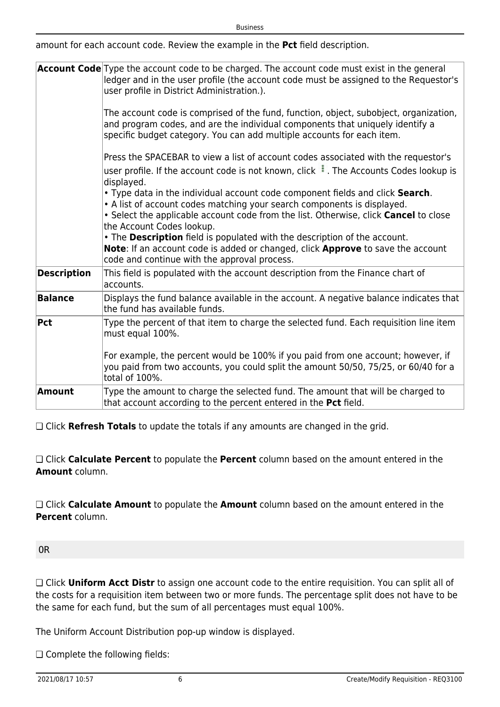amount for each account code. Review the example in the **Pct** field description.

|                    | <b>Account Code</b> Type the account code to be charged. The account code must exist in the general<br>ledger and in the user profile (the account code must be assigned to the Requestor's<br>user profile in District Administration.).                                     |
|--------------------|-------------------------------------------------------------------------------------------------------------------------------------------------------------------------------------------------------------------------------------------------------------------------------|
|                    | The account code is comprised of the fund, function, object, subobject, organization,<br>and program codes, and are the individual components that uniquely identify a<br>specific budget category. You can add multiple accounts for each item.                              |
|                    | Press the SPACEBAR to view a list of account codes associated with the requestor's<br>user profile. If the account code is not known, click : . The Accounts Codes lookup is<br>displayed.                                                                                    |
|                    | . Type data in the individual account code component fields and click Search.<br>• A list of account codes matching your search components is displayed.<br>• Select the applicable account code from the list. Otherwise, click Cancel to close<br>the Account Codes lookup. |
|                    | . The Description field is populated with the description of the account.<br>Note: If an account code is added or changed, click Approve to save the account<br>code and continue with the approval process.                                                                  |
| <b>Description</b> | This field is populated with the account description from the Finance chart of<br>accounts.                                                                                                                                                                                   |
| <b>Balance</b>     | Displays the fund balance available in the account. A negative balance indicates that<br>the fund has available funds.                                                                                                                                                        |
| $ $ Pct            | Type the percent of that item to charge the selected fund. Each requisition line item<br>must equal 100%.                                                                                                                                                                     |
|                    | For example, the percent would be 100% if you paid from one account; however, if<br>you paid from two accounts, you could split the amount 50/50, 75/25, or 60/40 for a<br>total of 100%.                                                                                     |
| Amount             | Type the amount to charge the selected fund. The amount that will be charged to<br>that account according to the percent entered in the Pct field.                                                                                                                            |

❏ Click **Refresh Totals** to update the totals if any amounts are changed in the grid.

❏ Click **Calculate Percent** to populate the **Percent** column based on the amount entered in the **Amount** column.

❏ Click **Calculate Amount** to populate the **Amount** column based on the amount entered in the **Percent** column.

OR

❏ Click **Uniform Acct Distr** to assign one account code to the entire requisition. You can split all of the costs for a requisition item between two or more funds. The percentage split does not have to be the same for each fund, but the sum of all percentages must equal 100%.

The Uniform Account Distribution pop-up window is displayed.

❏ Complete the following fields: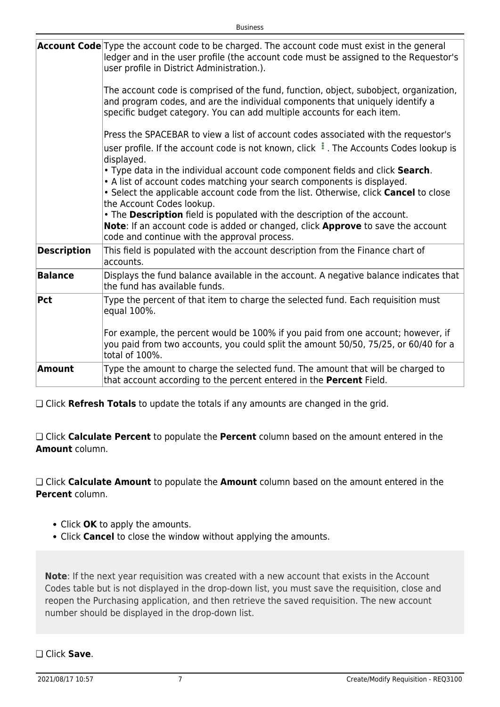|                    | Account Code Type the account code to be charged. The account code must exist in the general<br>ledger and in the user profile (the account code must be assigned to the Requestor's<br>user profile in District Administration.).<br>The account code is comprised of the fund, function, object, subobject, organization,<br>and program codes, and are the individual components that uniquely identify a<br>specific budget category. You can add multiple accounts for each item.<br>Press the SPACEBAR to view a list of account codes associated with the requestor's<br>user profile. If the account code is not known, click : . The Accounts Codes lookup is<br>displayed.<br>. Type data in the individual account code component fields and click Search.<br>• A list of account codes matching your search components is displayed.<br>• Select the applicable account code from the list. Otherwise, click Cancel to close<br>the Account Codes lookup.<br>. The Description field is populated with the description of the account.<br>Note: If an account code is added or changed, click Approve to save the account<br>code and continue with the approval process. |
|--------------------|---------------------------------------------------------------------------------------------------------------------------------------------------------------------------------------------------------------------------------------------------------------------------------------------------------------------------------------------------------------------------------------------------------------------------------------------------------------------------------------------------------------------------------------------------------------------------------------------------------------------------------------------------------------------------------------------------------------------------------------------------------------------------------------------------------------------------------------------------------------------------------------------------------------------------------------------------------------------------------------------------------------------------------------------------------------------------------------------------------------------------------------------------------------------------------------|
| <b>Description</b> | This field is populated with the account description from the Finance chart of<br>accounts.                                                                                                                                                                                                                                                                                                                                                                                                                                                                                                                                                                                                                                                                                                                                                                                                                                                                                                                                                                                                                                                                                           |
| <b>Balance</b>     | Displays the fund balance available in the account. A negative balance indicates that<br>the fund has available funds.                                                                                                                                                                                                                                                                                                                                                                                                                                                                                                                                                                                                                                                                                                                                                                                                                                                                                                                                                                                                                                                                |
| Pct                | Type the percent of that item to charge the selected fund. Each requisition must<br>equal 100%.<br>For example, the percent would be 100% if you paid from one account; however, if<br>you paid from two accounts, you could split the amount 50/50, 75/25, or 60/40 for a<br>total of 100%.                                                                                                                                                                                                                                                                                                                                                                                                                                                                                                                                                                                                                                                                                                                                                                                                                                                                                          |
| Amount             | Type the amount to charge the selected fund. The amount that will be charged to<br>that account according to the percent entered in the <b>Percent</b> Field.                                                                                                                                                                                                                                                                                                                                                                                                                                                                                                                                                                                                                                                                                                                                                                                                                                                                                                                                                                                                                         |

❏ Click **Refresh Totals** to update the totals if any amounts are changed in the grid.

❏ Click **Calculate Percent** to populate the **Percent** column based on the amount entered in the **Amount** column.

❏ Click **Calculate Amount** to populate the **Amount** column based on the amount entered in the **Percent** column.

- Click **OK** to apply the amounts.
- Click **Cancel** to close the window without applying the amounts.

**Note**: If the next year requisition was created with a new account that exists in the Account Codes table but is not displayed in the drop-down list, you must save the requisition, close and reopen the Purchasing application, and then retrieve the saved requisition. The new account number should be displayed in the drop-down list.

❏ Click **Save**.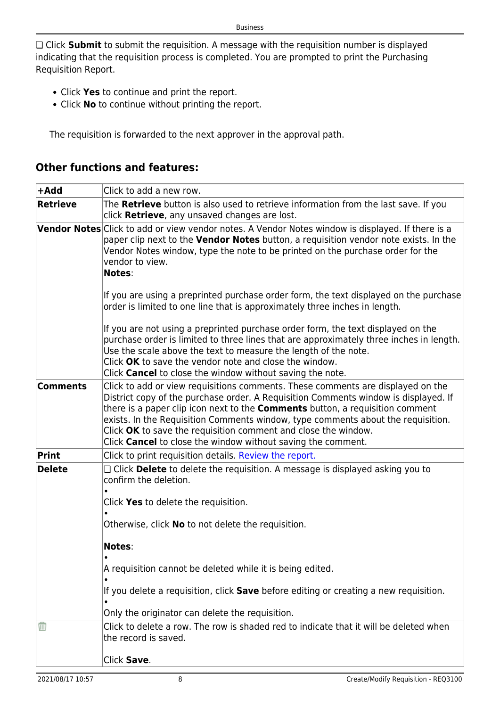❏ Click **Submit** to submit the requisition. A message with the requisition number is displayed indicating that the requisition process is completed. You are prompted to print the Purchasing Requisition Report.

- Click **Yes** to continue and print the report.
- Click **No** to continue without printing the report.

The requisition is forwarded to the next approver in the approval path.

### **+Add** Click to add a new row. **Retrieve** The **Retrieve** button is also used to retrieve information from the last save. If you click **Retrieve**, any unsaved changes are lost. **Vendor Notes** Click to add or view vendor notes. A Vendor Notes window is displayed. If there is a paper clip next to the **Vendor Notes** button, a requisition vendor note exists. In the Vendor Notes window, type the note to be printed on the purchase order for the vendor to view. **Notes**: If you are using a preprinted purchase order form, the text displayed on the purchase order is limited to one line that is approximately three inches in length. If you are not using a preprinted purchase order form, the text displayed on the purchase order is limited to three lines that are approximately three inches in length. Use the scale above the text to measure the length of the note. Click **OK** to save the vendor note and close the window. Click **Cancel** to close the window without saving the note. **Comments** Click to add or view requisitions comments. These comments are displayed on the District copy of the purchase order. A Requisition Comments window is displayed. If there is a paper clip icon next to the **Comments** button, a requisition comment exists. In the Requisition Comments window, type comments about the requisition. Click **OK** to save the requisition comment and close the window. Click **Cancel** to close the window without saving the comment. **Print** Click to print requisition details. [Review the report.](https://help.ascendertx.com/business/doku.php/general/printreport) **Delete** □ □ Click **Delete** to delete the requisition. A message is displayed asking you to confirm the deletion. • Click **Yes** to delete the requisition. • Otherwise, click **No** to not delete the requisition. **Notes**: • A requisition cannot be deleted while it is being edited. • If you delete a requisition, click **Save** before editing or creating a new requisition. • Only the originator can delete the requisition. Ŵ Click to delete a row. The row is shaded red to indicate that it will be deleted when the record is saved. Click **Save**.

# **Other functions and features:**